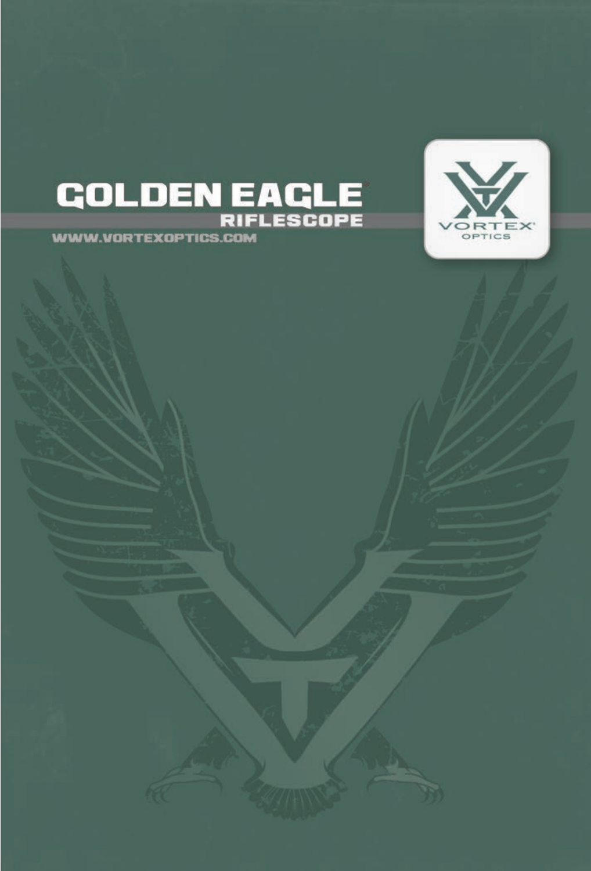

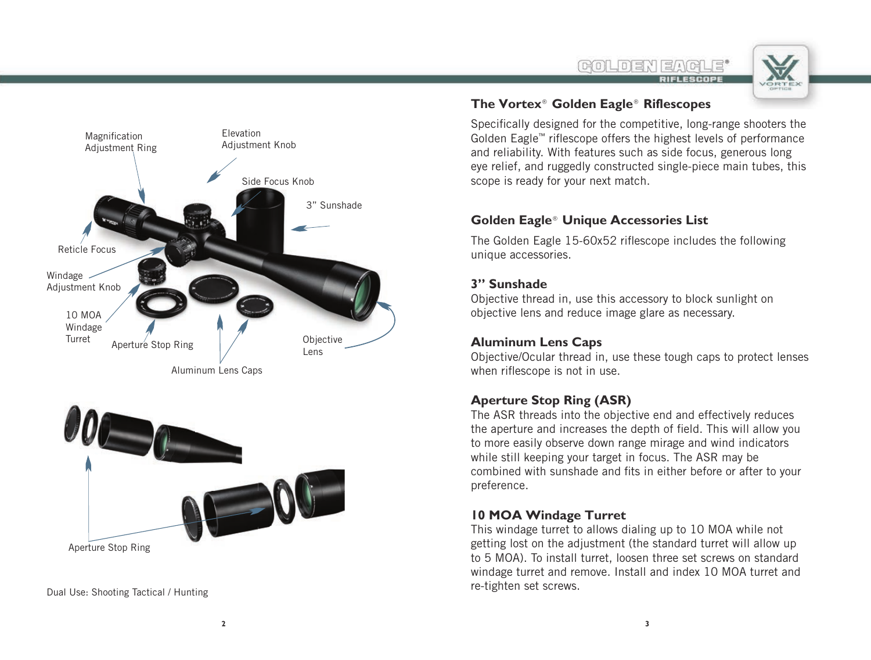



Aluminum Lens Caps



Dual Use: Shooting Tactical / Hunting

### **The Vortex® Golden Eagle® Riflescopes**

Specifically designed for the competitive, long-range shooters the Golden Eagle™ riflescope offers the highest levels of performance and reliability. With features such as side focus, generous long eye relief, and ruggedly constructed single-piece main tubes, this scope is ready for your next match.

### **Golden Eagle® Unique Accessories List**

The Golden Eagle 15-60x52 riflescope includes the following unique accessories.

### **3" Sunshade**

Objective thread in, use this accessory to block sunlight on objective lens and reduce image glare as necessary.

### **Aluminum Lens Caps**

Objective/Ocular thread in, use these tough caps to protect lenses when riflescope is not in use.

### **Aperture Stop Ring (ASR)**

The ASR threads into the objective end and effectively reduces the aperture and increases the depth of field. This will allow you to more easily observe down range mirage and wind indicators while still keeping your target in focus. The ASR may be combined with sunshade and fits in either before or after to your preference.

### **10 MOA Windage Turret**

This windage turret to allows dialing up to 10 MOA while not getting lost on the adjustment (the standard turret will allow up to 5 MOA). To install turret, loosen three set screws on standard windage turret and remove. Install and index 10 MOA turret and re-tighten set screws.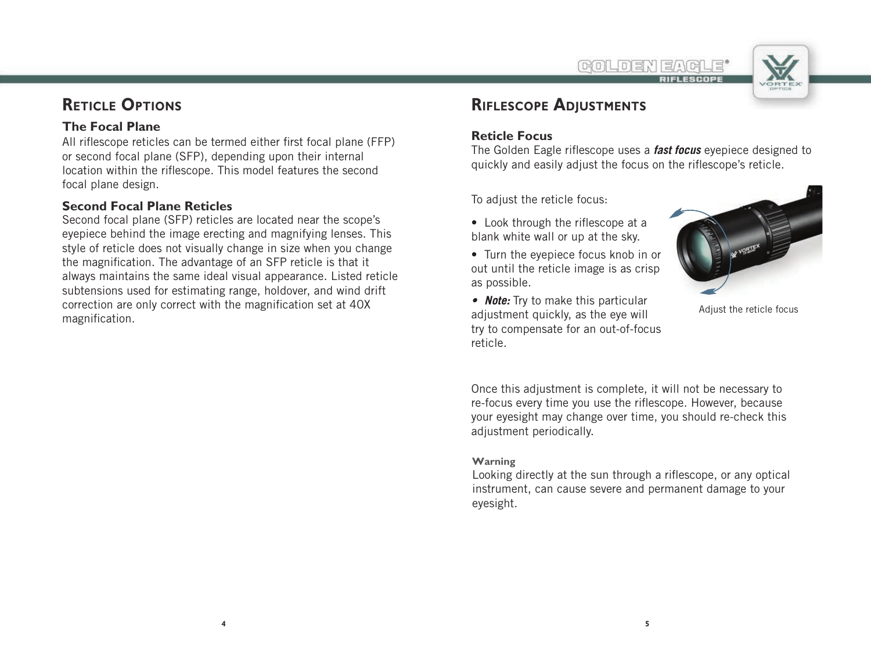

# **RETICLE OPTIONS**

### **The Focal Plane**

All riflescope reticles can be termed either first focal plane (FFP) or second focal plane (SFP), depending upon their internal location within the riflescope. This model features the second focal plane design.

### **Second Focal Plane Reticles**

Second focal plane (SFP) reticles are located near the scope's eyepiece behind the image erecting and magnifying lenses. This style of reticle does not visually change in size when you change the magnification. The advantage of an SFP reticle is that it always maintains the same ideal visual appearance. Listed reticle subtensions used for estimating range, holdover, and wind drift correction are only correct with the magnification set at 40X magnification.

# **RIFLESCOPE ADJUSTMENTS**

### **Reticle Focus**

The Golden Eagle riflescope uses a *fast focus* eyepiece designed to quickly and easily adjust the focus on the riflescope's reticle.

To adjust the reticle focus:

- Look through the riflescope at a blank white wall or up at the sky.
- Turn the eyepiece focus knob in or out until the reticle image is as crisp as possible.
- **Note:** Try to make this particular adjustment quickly, as the eye will try to compensate for an out-of-focus reticle.



Adjust the reticle focus

Once this adjustment is complete, it will not be necessary to re-focus every time you use the riflescope. However, because your eyesight may change over time, you should re-check this adjustment periodically.

### **Warning**

Looking directly at the sun through a riflescope, or any optical instrument, can cause severe and permanent damage to your eyesight.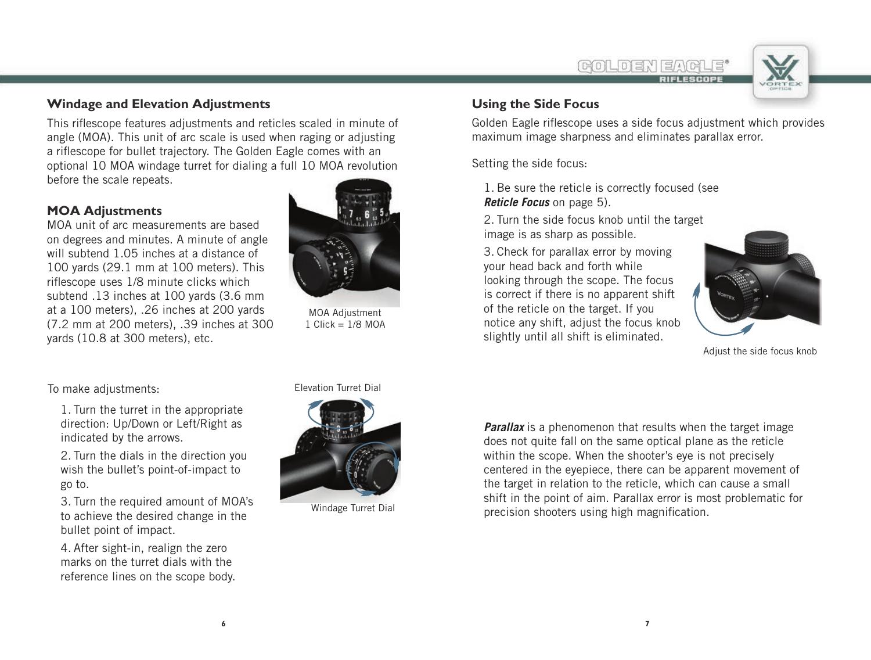

### **Windage and Elevation Adjustments**

This riflescope features adjustments and reticles scaled in minute of angle (MOA). This unit of arc scale is used when raging or adjusting a riflescope for bullet trajectory. The Golden Eagle comes with an optional 10 MOA windage turret for dialing a full 10 MOA revolution before the scale repeats.

### **MOA Adjustments**

MOA unit of arc measurements are based on degrees and minutes. A minute of angle will subtend 1.05 inches at a distance of 100 yards (29.1 mm at 100 meters). This riflescope uses 1/8 minute clicks which subtend .13 inches at 100 yards (3.6 mm at a 100 meters), .26 inches at 200 yards (7.2 mm at 200 meters), .39 inches at 300 yards (10.8 at 300 meters), etc.



MOA Adjustment  $1$  Click =  $1/8$  MOA

### **Using the Side Focus**

Golden Eagle riflescope uses a side focus adjustment which provides maximum image sharpness and eliminates parallax error.

Setting the side focus:

1. Be sure the reticle is correctly focused (see *Reticle Focus* on page 5).

2. Turn the side focus knob until the target image is as sharp as possible.

3. Check for parallax error by moving your head back and forth while looking through the scope. The focus is correct if there is no apparent shift of the reticle on the target. If you notice any shift, adjust the focus knob slightly until all shift is eliminated.



Adjust the side focus knob

To make adjustments: Elevation Turret Dial

1. Turn the turret in the appropriate direction: Up/Down or Left/Right as indicated by the arrows.

2. Turn the dials in the direction you wish the bullet's point-of-impact to go to.

3. Turn the required amount of MOA's to achieve the desired change in the bullet point of impact.

4. After sight-in, realign the zero marks on the turret dials with the reference lines on the scope body.



Windage Turret Dial

*Parallax* is a phenomenon that results when the target image does not quite fall on the same optical plane as the reticle within the scope. When the shooter's eye is not precisely centered in the eyepiece, there can be apparent movement of the target in relation to the reticle, which can cause a small shift in the point of aim. Parallax error is most problematic for precision shooters using high magnification.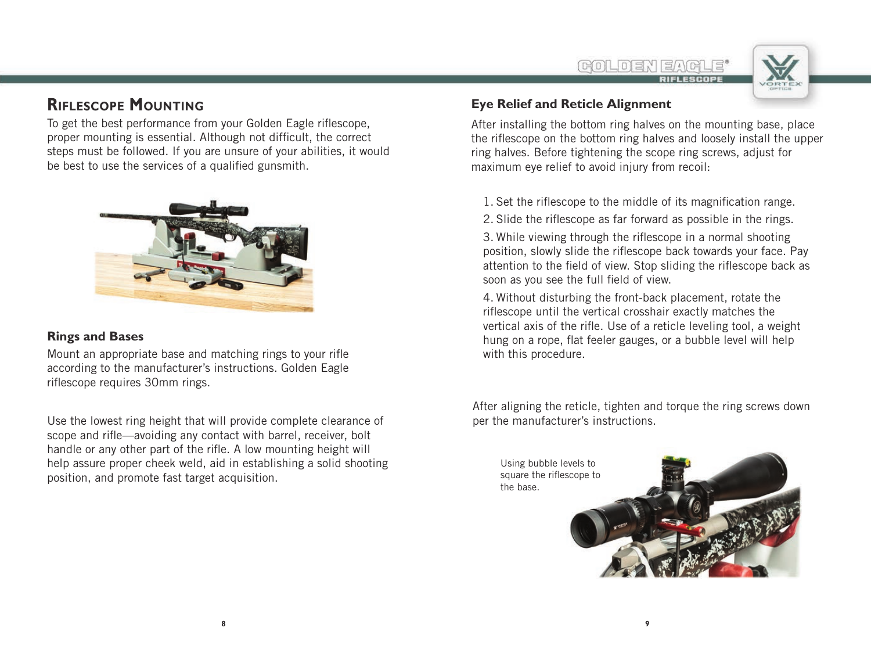

## **RIFLESCOPE MOUNTING**

To get the best performance from your Golden Eagle riflescope, proper mounting is essential. Although not difficult, the correct steps must be followed. If you are unsure of your abilities, it would be best to use the services of a qualified gunsmith.



### **Rings and Bases**

Mount an appropriate base and matching rings to your rifle according to the manufacturer's instructions. Golden Eagle riflescope requires 30mm rings.

Use the lowest ring height that will provide complete clearance of scope and rifle—avoiding any contact with barrel, receiver, bolt handle or any other part of the rifle. A low mounting height will help assure proper cheek weld, aid in establishing a solid shooting position, and promote fast target acquisition.

### **Eye Relief and Reticle Alignment**

After installing the bottom ring halves on the mounting base, place the riflescope on the bottom ring halves and loosely install the upper ring halves. Before tightening the scope ring screws, adjust for maximum eye relief to avoid injury from recoil:

1. Set the riflescope to the middle of its magnification range.

2. Slide the riflescope as far forward as possible in the rings.

3. While viewing through the riflescope in a normal shooting position, slowly slide the riflescope back towards your face. Pay attention to the field of view. Stop sliding the riflescope back as soon as you see the full field of view.

4. Without disturbing the front-back placement, rotate the riflescope until the vertical crosshair exactly matches the vertical axis of the rifle. Use of a reticle leveling tool, a weight hung on a rope, flat feeler gauges, or a bubble level will help with this procedure.

After aligning the reticle, tighten and torque the ring screws down per the manufacturer's instructions.

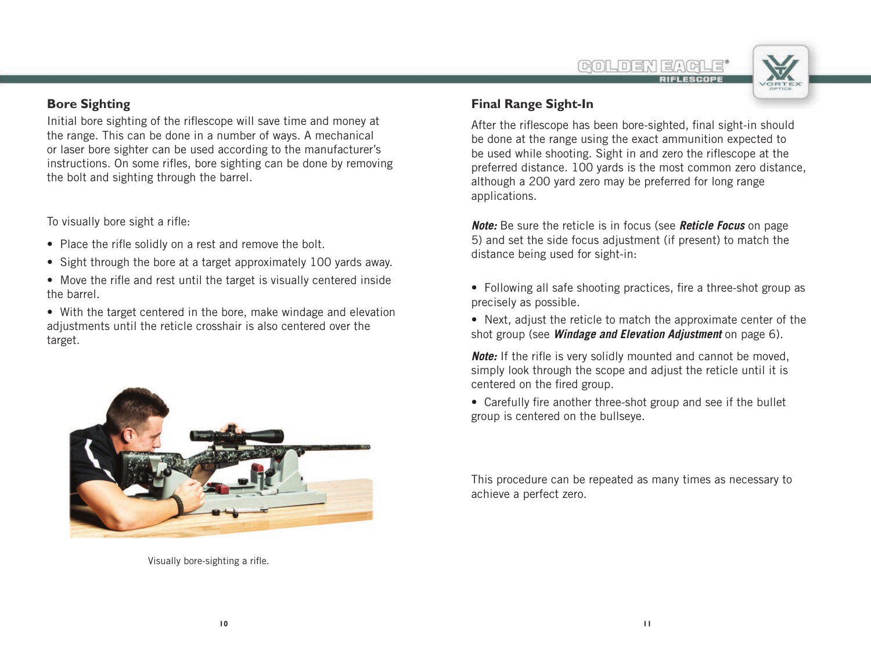

### **Bore Sighting**

Initial bore sighting of the riflescope will save time and money at the range. This can be done in a number of ways. A mechanical or laser bore sighter can be used according to the manufacturer's instructions. On some rifles, bore sighting can be done by removing the bolt and sighting through the barrel.

To visually bore sight a rifle:

- Place the rifle solidly on a rest and remove the bolt.
- Sight through the bore at a target approximately 100 yards away.
- Move the rifle and rest until the target is visually centered inside the barrel.
- With the target centered in the bore, make windage and elevation adjustments until the reticle crosshair is also centered over the target.



Visually bore-sighting a rifle.

### **Final Range Sight-In**

After the riflescope has been bore-sighted, final sight-in should be done at the range using the exact ammunition expected to be used while shooting. Sight in and zero the riflescope at the preferred distance. 100 yards is the most common zero distance, although a 200 yard zero may be preferred for long range applications.

*Note:* Be sure the reticle is in focus (see *Reticle Focus* on page 5) and set the side focus adjustment (if present) to match the distance being used for sight-in:

- Following all safe shooting practices, fire a three-shot group as precisely as possible.
- Next, adjust the reticle to match the approximate center of the shot group (see *Windage and Elevation Adjustment* on page 6).

*Note:* If the rifle is very solidly mounted and cannot be moved. simply look through the scope and adjust the reticle until it is centered on the fired group.

• Carefully fire another three-shot group and see if the bullet group is centered on the bullseye.

This procedure can be repeated as many times as necessary to achieve a perfect zero.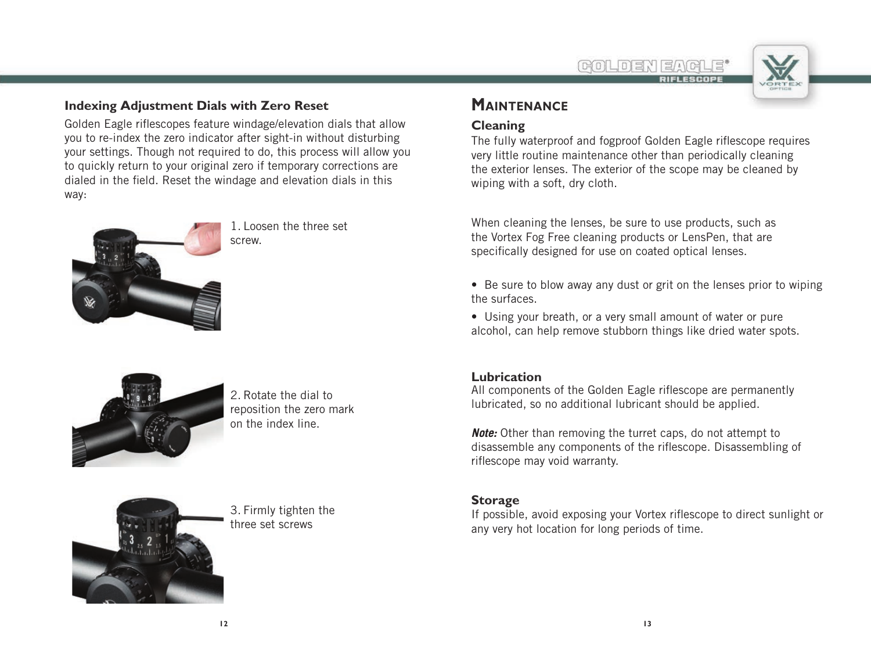riflescope may void warranty.

### **Storage**

**Lubrication**

If possible, avoid exposing your Vortex riflescope to direct sunlight or any very hot location for long periods of time.

**MAINTENANCE**

## **Cleaning**

The fully waterproof and fogproof Golden Eagle riflescope requires very little routine maintenance other than periodically cleaning the exterior lenses. The exterior of the scope may be cleaned by wiping with a soft, dry cloth.

When cleaning the lenses, be sure to use products, such as the Vortex Fog Free cleaning products or LensPen, that are specifically designed for use on coated optical lenses.

**BOLDE** 

- Be sure to blow away any dust or grit on the lenses prior to wiping the surfaces.
- Using your breath, or a very small amount of water or pure alcohol, can help remove stubborn things like dried water spots.

All components of the Golden Eagle riflescope are permanently lubricated, so no additional lubricant should be applied.

*Note:* Other than removing the turret caps, do not attempt to disassemble any components of the riflescope. Disassembling of

## **Indexing Adjustment Dials with Zero Reset**

Golden Eagle riflescopes feature windage/elevation dials that allow you to re-index the zero indicator after sight-in without disturbing your settings. Though not required to do, this process will allow you to quickly return to your original zero if temporary corrections are dialed in the field. Reset the windage and elevation dials in this way:



1. Loosen the three set screw.



2. Rotate the dial to reposition the zero mark on the index line.



3. Firmly tighten the three set screws

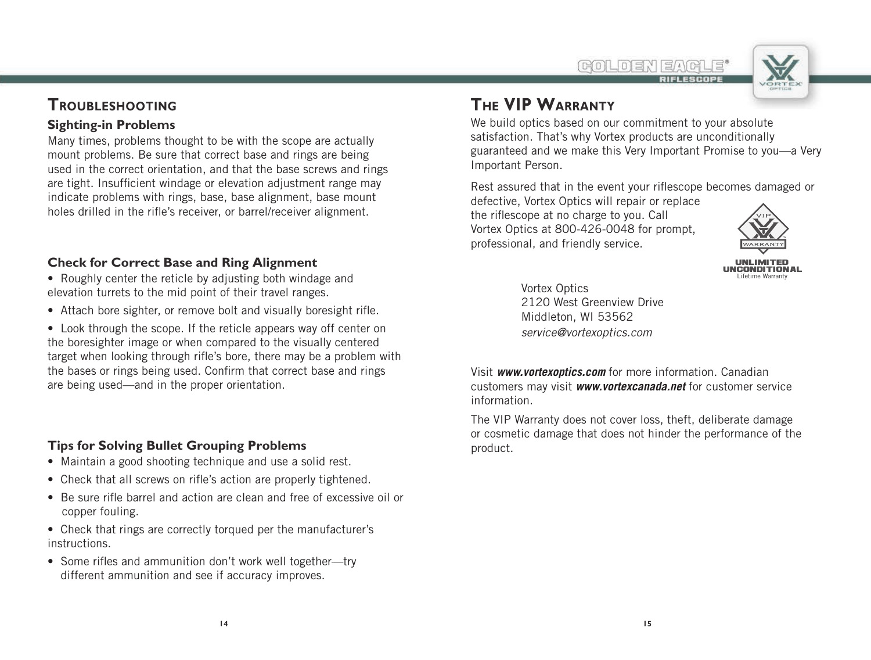**BOLOEY** 

## **TROUBLESHOOTING**

### **Sighting-in Problems**

Many times, problems thought to be with the scope are actually mount problems. Be sure that correct base and rings are being used in the correct orientation, and that the base screws and rings are tight. Insufficient windage or elevation adjustment range may indicate problems with rings, base, base alignment, base mount holes drilled in the rifle's receiver, or barrel/receiver alignment.

### **Check for Correct Base and Ring Alignment**

- Roughly center the reticle by adjusting both windage and elevation turrets to the mid point of their travel ranges.
- Attach bore sighter, or remove bolt and visually boresight rifle.

• Look through the scope. If the reticle appears way off center on the boresighter image or when compared to the visually centered target when looking through rifle's bore, there may be a problem with the bases or rings being used. Confirm that correct base and rings are being used—and in the proper orientation.

### **Tips for Solving Bullet Grouping Problems**

- Maintain a good shooting technique and use a solid rest.
- Check that all screws on rifle's action are properly tightened.
- Be sure rifle barrel and action are clean and free of excessive oil or copper fouling.
- Check that rings are correctly torqued per the manufacturer's instructions.
- Some rifles and ammunition don't work well together—try different ammunition and see if accuracy improves.

# **THE VIP WARRANTY**

We build optics based on our commitment to your absolute satisfaction. That's why Vortex products are unconditionally guaranteed and we make this Very Important Promise to you—a Very Important Person.

Rest assured that in the event your riflescope becomes damaged or defective, Vortex Optics will repair or replace

the riflescope at no charge to you. Call Vortex Optics at 800-426-0048 for prompt, professional, and friendly service.



Vortex Optics 2120 West Greenview Drive Middleton, WI 53562 *service@vortexoptics.com*

Visit *www.vortexoptics.com* for more information. Canadian customers may visit *www.vortexcanada.net* for customer service information.

The VIP Warranty does not cover loss, theft, deliberate damage or cosmetic damage that does not hinder the performance of the product.